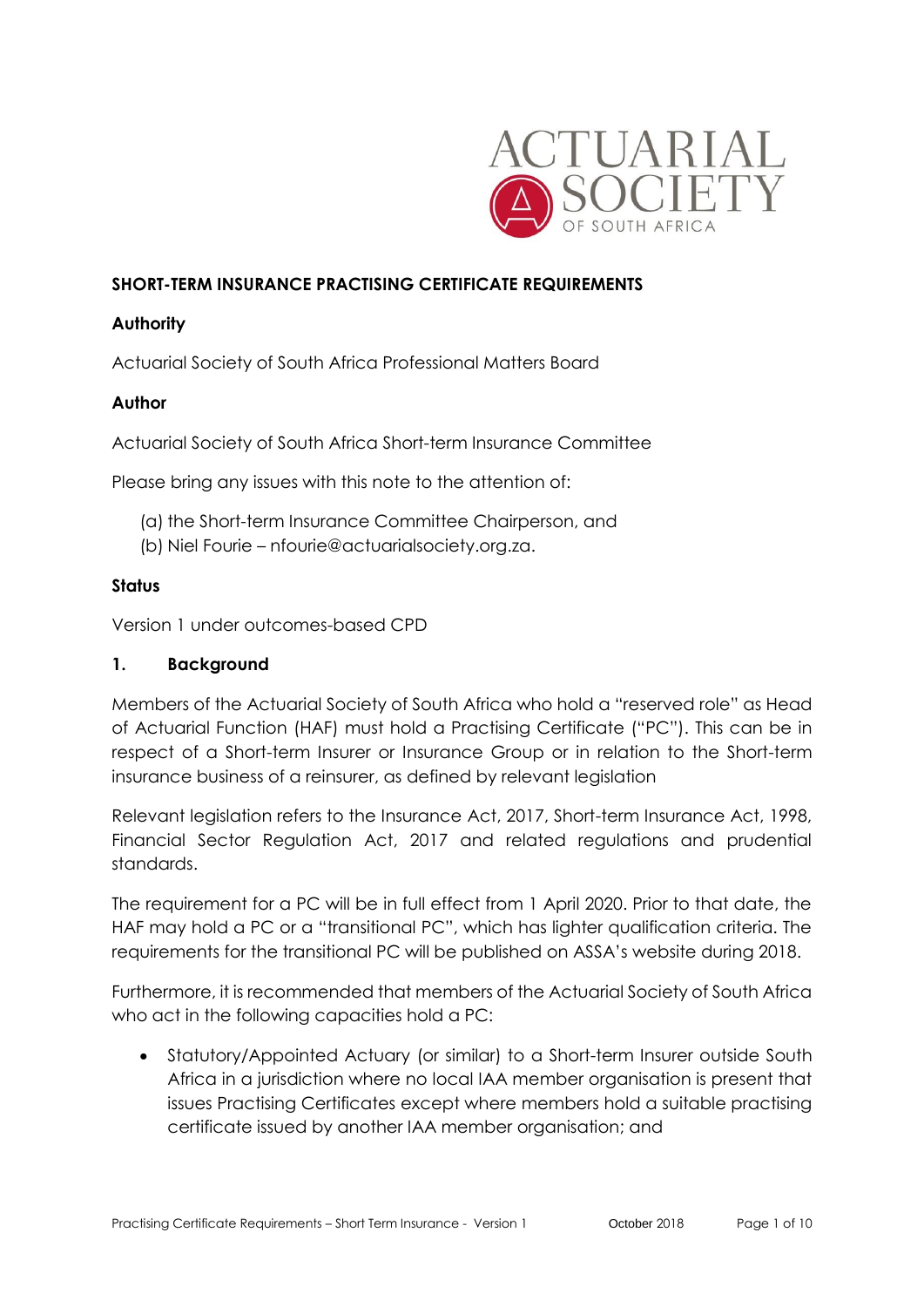

### **SHORT-TERM INSURANCE PRACTISING CERTIFICATE REQUIREMENTS**

### **Authority**

Actuarial Society of South Africa Professional Matters Board

# **Author**

Actuarial Society of South Africa Short-term Insurance Committee

Please bring any issues with this note to the attention of:

- (a) the Short-term Insurance Committee Chairperson, and
- (b) Niel Fourie nfourie@actuarialsociety.org.za.

### **Status**

Version 1 under outcomes-based CPD

### **1. Background**

Members of the Actuarial Society of South Africa who hold a "reserved role" as Head of Actuarial Function (HAF) must hold a Practising Certificate ("PC"). This can be in respect of a Short-term Insurer or Insurance Group or in relation to the Short-term insurance business of a reinsurer, as defined by relevant legislation

Relevant legislation refers to the Insurance Act, 2017, Short-term Insurance Act, 1998, Financial Sector Regulation Act, 2017 and related regulations and prudential standards.

The requirement for a PC will be in full effect from 1 April 2020. Prior to that date, the HAF may hold a PC or a "transitional PC", which has lighter qualification criteria. The requirements for the transitional PC will be published on ASSA's website during 2018.

Furthermore, it is recommended that members of the Actuarial Society of South Africa who act in the following capacities hold a PC:

• Statutory/Appointed Actuary (or similar) to a Short-term Insurer outside South Africa in a jurisdiction where no local IAA member organisation is present that issues Practising Certificates except where members hold a suitable practising certificate issued by another IAA member organisation; and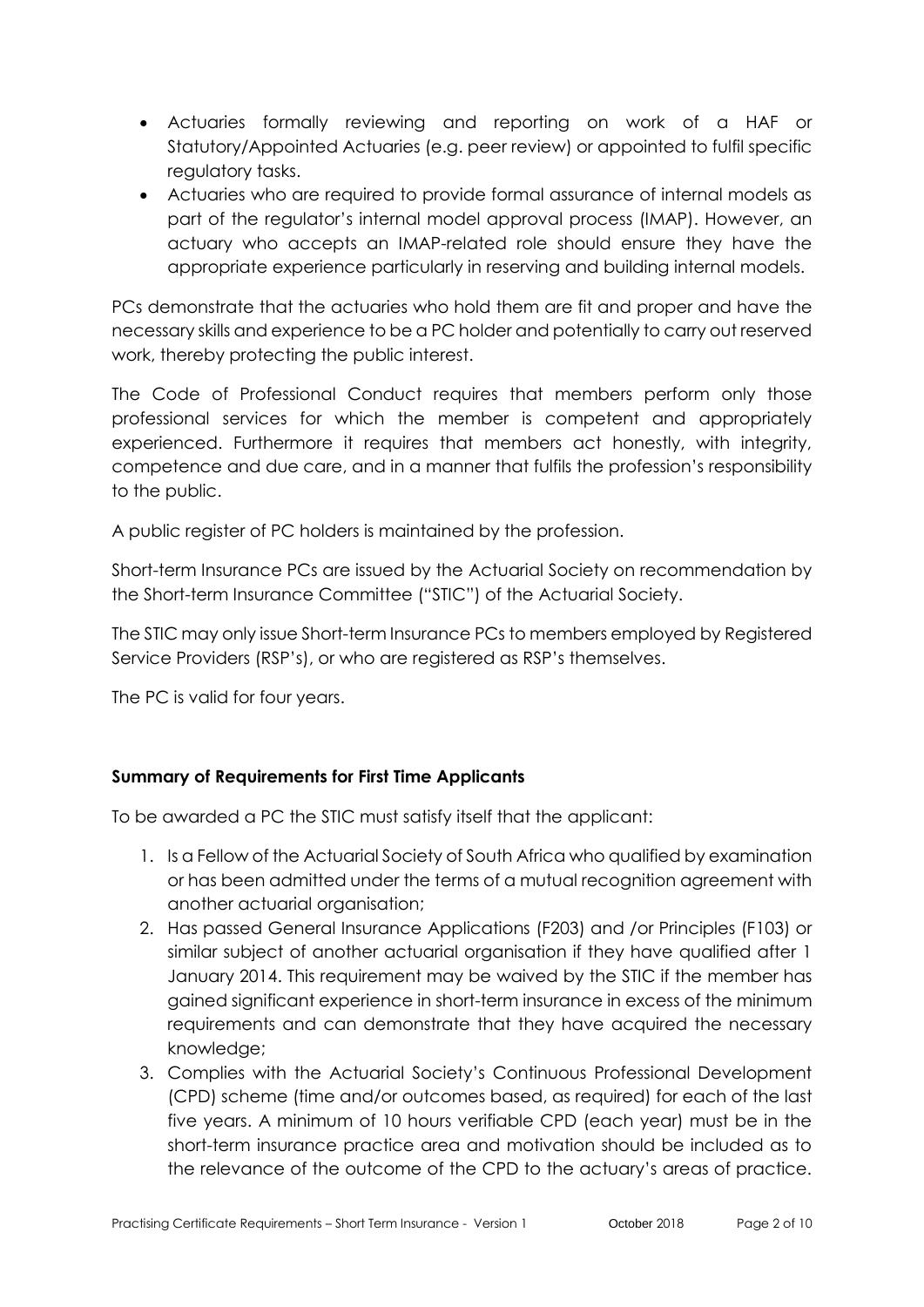- Actuaries formally reviewing and reporting on work of a HAF or Statutory/Appointed Actuaries (e.g. peer review) or appointed to fulfil specific regulatory tasks.
- Actuaries who are required to provide formal assurance of internal models as part of the regulator's internal model approval process (IMAP). However, an actuary who accepts an IMAP-related role should ensure they have the appropriate experience particularly in reserving and building internal models.

PCs demonstrate that the actuaries who hold them are fit and proper and have the necessary skills and experience to be a PC holder and potentially to carry out reserved work, thereby protecting the public interest.

The Code of Professional Conduct requires that members perform only those professional services for which the member is competent and appropriately experienced. Furthermore it requires that members act honestly, with integrity, competence and due care, and in a manner that fulfils the profession's responsibility to the public.

A public register of PC holders is maintained by the profession.

Short-term Insurance PCs are issued by the Actuarial Society on recommendation by the Short-term Insurance Committee ("STIC") of the Actuarial Society.

The STIC may only issue Short-term Insurance PCs to members employed by Registered Service Providers (RSP's), or who are registered as RSP's themselves.

The PC is valid for four years.

# **Summary of Requirements for First Time Applicants**

To be awarded a PC the STIC must satisfy itself that the applicant:

- 1. Is a Fellow of the Actuarial Society of South Africa who qualified by examination or has been admitted under the terms of a mutual recognition agreement with another actuarial organisation;
- 2. Has passed General Insurance Applications (F203) and /or Principles (F103) or similar subject of another actuarial organisation if they have qualified after 1 January 2014. This requirement may be waived by the STIC if the member has gained significant experience in short-term insurance in excess of the minimum requirements and can demonstrate that they have acquired the necessary knowledge;
- 3. Complies with the Actuarial Society's Continuous Professional Development (CPD) scheme (time and/or outcomes based, as required) for each of the last five years. A minimum of 10 hours verifiable CPD (each year) must be in the short-term insurance practice area and motivation should be included as to the relevance of the outcome of the CPD to the actuary's areas of practice.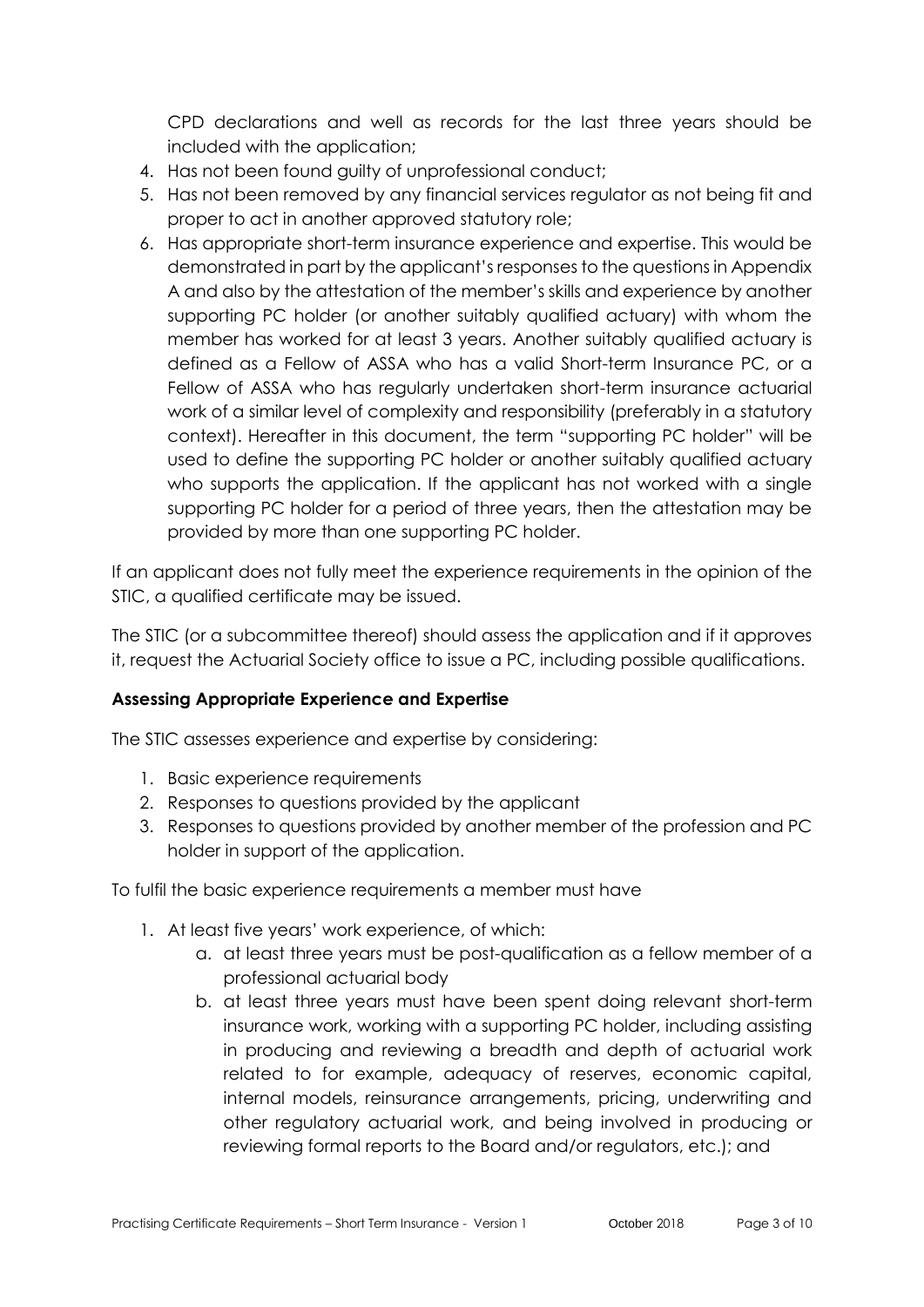CPD declarations and well as records for the last three years should be included with the application;

- 4. Has not been found guilty of unprofessional conduct;
- 5. Has not been removed by any financial services regulator as not being fit and proper to act in another approved statutory role;
- 6. Has appropriate short-term insurance experience and expertise. This would be demonstrated in part by the applicant's responses to the questions in Appendix A and also by the attestation of the member's skills and experience by another supporting PC holder (or another suitably qualified actuary) with whom the member has worked for at least 3 years. Another suitably qualified actuary is defined as a Fellow of ASSA who has a valid Short-term Insurance PC, or a Fellow of ASSA who has regularly undertaken short-term insurance actuarial work of a similar level of complexity and responsibility (preferably in a statutory context). Hereafter in this document, the term "supporting PC holder" will be used to define the supporting PC holder or another suitably qualified actuary who supports the application. If the applicant has not worked with a single supporting PC holder for a period of three years, then the attestation may be provided by more than one supporting PC holder.

If an applicant does not fully meet the experience requirements in the opinion of the STIC, a qualified certificate may be issued.

The STIC (or a subcommittee thereof) should assess the application and if it approves it, request the Actuarial Society office to issue a PC, including possible qualifications.

### **Assessing Appropriate Experience and Expertise**

The STIC assesses experience and expertise by considering:

- 1. Basic experience requirements
- 2. Responses to questions provided by the applicant
- 3. Responses to questions provided by another member of the profession and PC holder in support of the application.

To fulfil the basic experience requirements a member must have

- 1. At least five years' work experience, of which:
	- a. at least three years must be post-qualification as a fellow member of a professional actuarial body
	- b. at least three years must have been spent doing relevant short-term insurance work, working with a supporting PC holder, including assisting in producing and reviewing a breadth and depth of actuarial work related to for example, adequacy of reserves, economic capital, internal models, reinsurance arrangements, pricing, underwriting and other regulatory actuarial work, and being involved in producing or reviewing formal reports to the Board and/or regulators, etc.); and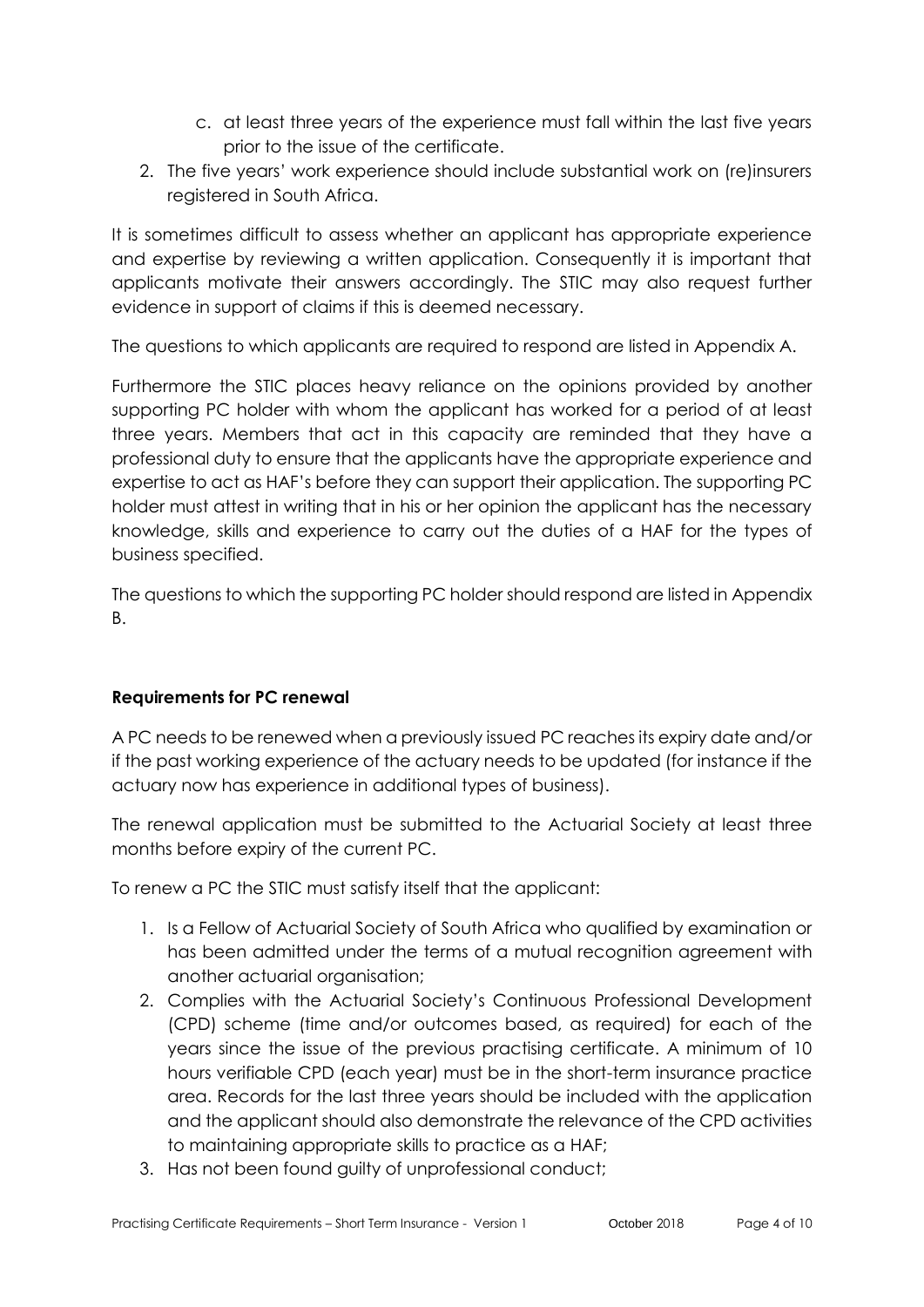- c. at least three years of the experience must fall within the last five years prior to the issue of the certificate.
- 2. The five years' work experience should include substantial work on (re)insurers registered in South Africa.

It is sometimes difficult to assess whether an applicant has appropriate experience and expertise by reviewing a written application. Consequently it is important that applicants motivate their answers accordingly. The STIC may also request further evidence in support of claims if this is deemed necessary.

The questions to which applicants are required to respond are listed in Appendix A.

Furthermore the STIC places heavy reliance on the opinions provided by another supporting PC holder with whom the applicant has worked for a period of at least three years. Members that act in this capacity are reminded that they have a professional duty to ensure that the applicants have the appropriate experience and expertise to act as HAF's before they can support their application. The supporting PC holder must attest in writing that in his or her opinion the applicant has the necessary knowledge, skills and experience to carry out the duties of a HAF for the types of business specified.

The questions to which the supporting PC holder should respond are listed in Appendix B.

# **Requirements for PC renewal**

A PC needs to be renewed when a previously issued PC reaches its expiry date and/or if the past working experience of the actuary needs to be updated (for instance if the actuary now has experience in additional types of business).

The renewal application must be submitted to the Actuarial Society at least three months before expiry of the current PC.

To renew a PC the STIC must satisfy itself that the applicant:

- 1. Is a Fellow of Actuarial Society of South Africa who qualified by examination or has been admitted under the terms of a mutual recognition agreement with another actuarial organisation;
- 2. Complies with the Actuarial Society's Continuous Professional Development (CPD) scheme (time and/or outcomes based, as required) for each of the years since the issue of the previous practising certificate. A minimum of 10 hours verifiable CPD (each year) must be in the short-term insurance practice area. Records for the last three years should be included with the application and the applicant should also demonstrate the relevance of the CPD activities to maintaining appropriate skills to practice as a HAF;
- 3. Has not been found guilty of unprofessional conduct;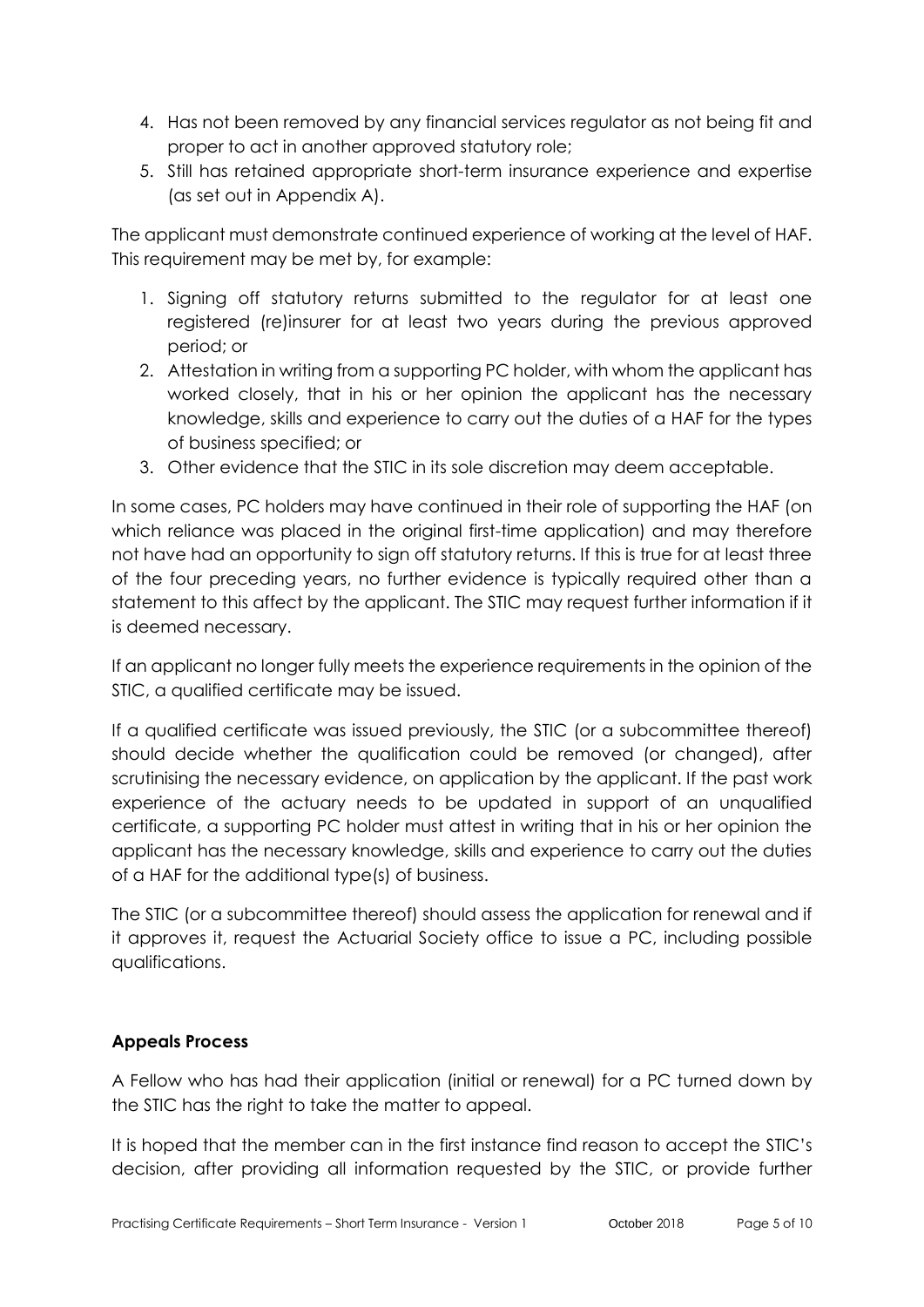- 4. Has not been removed by any financial services regulator as not being fit and proper to act in another approved statutory role;
- 5. Still has retained appropriate short-term insurance experience and expertise (as set out in Appendix A).

The applicant must demonstrate continued experience of working at the level of HAF. This requirement may be met by, for example:

- 1. Signing off statutory returns submitted to the regulator for at least one registered (re)insurer for at least two years during the previous approved period; or
- 2. Attestation in writing from a supporting PC holder, with whom the applicant has worked closely, that in his or her opinion the applicant has the necessary knowledge, skills and experience to carry out the duties of a HAF for the types of business specified; or
- 3. Other evidence that the STIC in its sole discretion may deem acceptable.

In some cases, PC holders may have continued in their role of supporting the HAF (on which reliance was placed in the original first-time application) and may therefore not have had an opportunity to sign off statutory returns. If this is true for at least three of the four preceding years, no further evidence is typically required other than a statement to this affect by the applicant. The STIC may request further information if it is deemed necessary.

If an applicant no longer fully meets the experience requirements in the opinion of the STIC, a qualified certificate may be issued.

If a qualified certificate was issued previously, the STIC (or a subcommittee thereof) should decide whether the qualification could be removed (or changed), after scrutinising the necessary evidence, on application by the applicant. If the past work experience of the actuary needs to be updated in support of an unqualified certificate, a supporting PC holder must attest in writing that in his or her opinion the applicant has the necessary knowledge, skills and experience to carry out the duties of a HAF for the additional type(s) of business.

The STIC (or a subcommittee thereof) should assess the application for renewal and if it approves it, request the Actuarial Society office to issue a PC, including possible qualifications.

# **Appeals Process**

A Fellow who has had their application (initial or renewal) for a PC turned down by the STIC has the right to take the matter to appeal.

It is hoped that the member can in the first instance find reason to accept the STIC's decision, after providing all information requested by the STIC, or provide further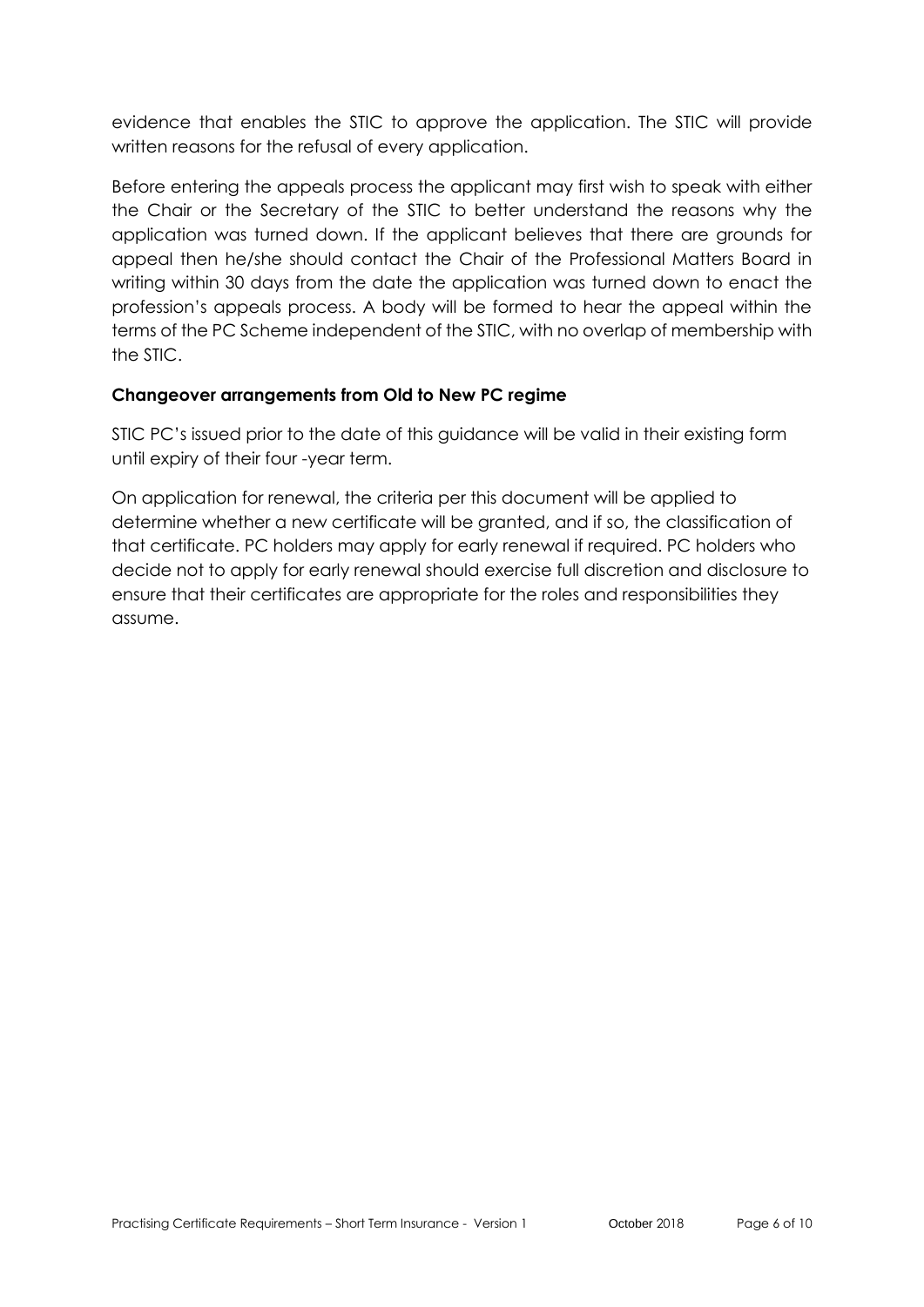evidence that enables the STIC to approve the application. The STIC will provide written reasons for the refusal of every application.

Before entering the appeals process the applicant may first wish to speak with either the Chair or the Secretary of the STIC to better understand the reasons why the application was turned down. If the applicant believes that there are grounds for appeal then he/she should contact the Chair of the Professional Matters Board in writing within 30 days from the date the application was turned down to enact the profession's appeals process. A body will be formed to hear the appeal within the terms of the PC Scheme independent of the STIC, with no overlap of membership with the STIC.

### **Changeover arrangements from Old to New PC regime**

STIC PC's issued prior to the date of this guidance will be valid in their existing form until expiry of their four -year term.

On application for renewal, the criteria per this document will be applied to determine whether a new certificate will be granted, and if so, the classification of that certificate. PC holders may apply for early renewal if required. PC holders who decide not to apply for early renewal should exercise full discretion and disclosure to ensure that their certificates are appropriate for the roles and responsibilities they assume.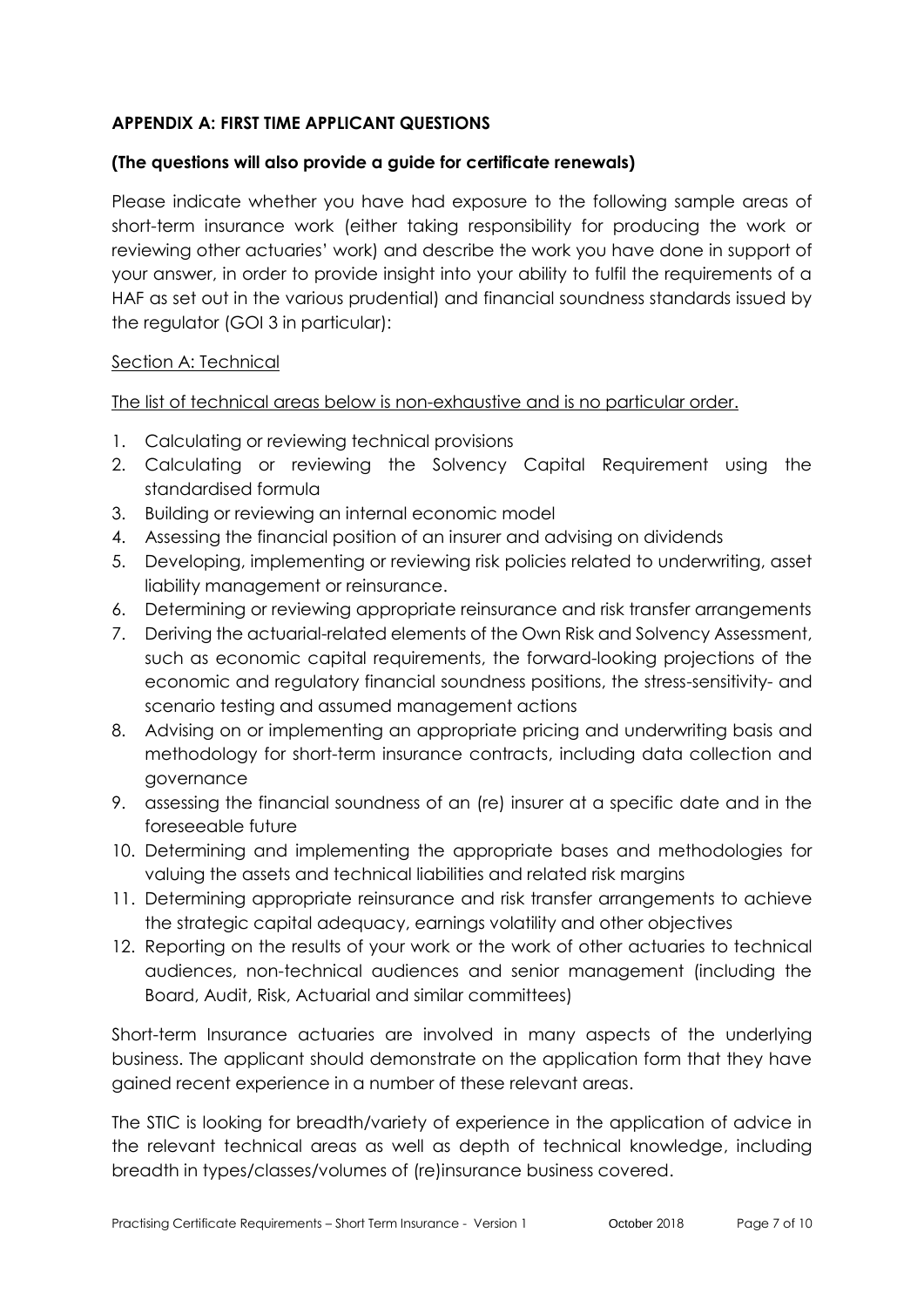# **APPENDIX A: FIRST TIME APPLICANT QUESTIONS**

#### **(The questions will also provide a guide for certificate renewals)**

Please indicate whether you have had exposure to the following sample areas of short-term insurance work (either taking responsibility for producing the work or reviewing other actuaries' work) and describe the work you have done in support of your answer, in order to provide insight into your ability to fulfil the requirements of a HAF as set out in the various prudential) and financial soundness standards issued by the regulator (GOI 3 in particular):

#### Section A: Technical

The list of technical areas below is non-exhaustive and is no particular order.

- 1. Calculating or reviewing technical provisions
- 2. Calculating or reviewing the Solvency Capital Requirement using the standardised formula
- 3. Building or reviewing an internal economic model
- 4. Assessing the financial position of an insurer and advising on dividends
- 5. Developing, implementing or reviewing risk policies related to underwriting, asset liability management or reinsurance.
- 6. Determining or reviewing appropriate reinsurance and risk transfer arrangements
- 7. Deriving the actuarial-related elements of the Own Risk and Solvency Assessment, such as economic capital requirements, the forward-looking projections of the economic and regulatory financial soundness positions, the stress-sensitivity- and scenario testing and assumed management actions
- 8. Advising on or implementing an appropriate pricing and underwriting basis and methodology for short-term insurance contracts, including data collection and governance
- 9. assessing the financial soundness of an (re) insurer at a specific date and in the foreseeable future
- 10. Determining and implementing the appropriate bases and methodologies for valuing the assets and technical liabilities and related risk margins
- 11. Determining appropriate reinsurance and risk transfer arrangements to achieve the strategic capital adequacy, earnings volatility and other objectives
- 12. Reporting on the results of your work or the work of other actuaries to technical audiences, non-technical audiences and senior management (including the Board, Audit, Risk, Actuarial and similar committees)

Short-term Insurance actuaries are involved in many aspects of the underlying business. The applicant should demonstrate on the application form that they have gained recent experience in a number of these relevant areas.

The STIC is looking for breadth/variety of experience in the application of advice in the relevant technical areas as well as depth of technical knowledge, including breadth in types/classes/volumes of (re)insurance business covered.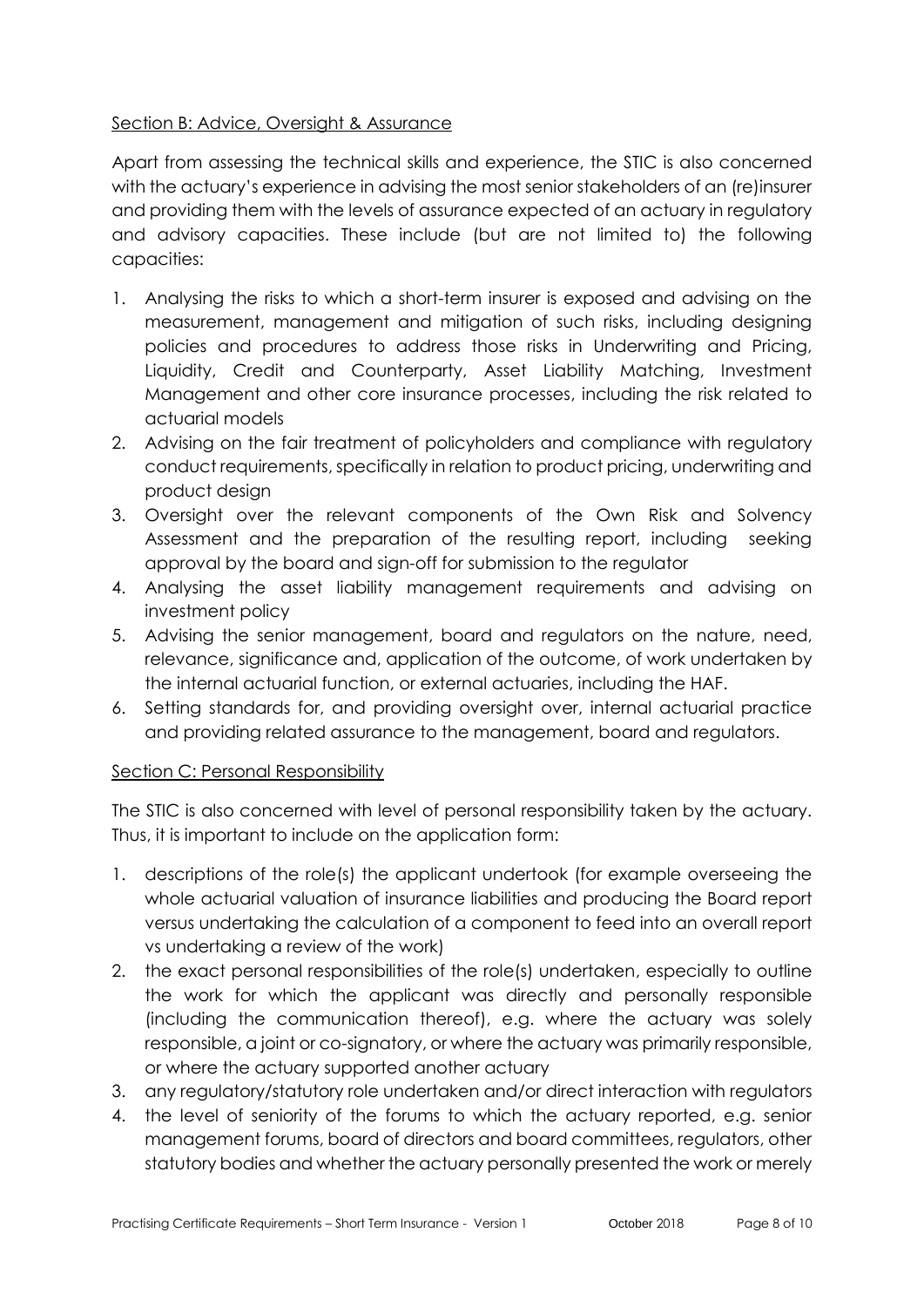# Section B: Advice, Oversight & Assurance

Apart from assessing the technical skills and experience, the STIC is also concerned with the actuary's experience in advising the most senior stakeholders of an (re)insurer and providing them with the levels of assurance expected of an actuary in regulatory and advisory capacities. These include (but are not limited to) the following capacities:

- 1. Analysing the risks to which a short-term insurer is exposed and advising on the measurement, management and mitigation of such risks, including designing policies and procedures to address those risks in Underwriting and Pricing, Liquidity, Credit and Counterparty, Asset Liability Matching, Investment Management and other core insurance processes, including the risk related to actuarial models
- 2. Advising on the fair treatment of policyholders and compliance with regulatory conduct requirements, specifically in relation to product pricing, underwriting and product design
- 3. Oversight over the relevant components of the Own Risk and Solvency Assessment and the preparation of the resulting report, including seeking approval by the board and sign-off for submission to the regulator
- 4. Analysing the asset liability management requirements and advising on investment policy
- 5. Advising the senior management, board and regulators on the nature, need, relevance, significance and, application of the outcome, of work undertaken by the internal actuarial function, or external actuaries, including the HAF.
- 6. Setting standards for, and providing oversight over, internal actuarial practice and providing related assurance to the management, board and regulators.

# Section C: Personal Responsibility

The STIC is also concerned with level of personal responsibility taken by the actuary. Thus, it is important to include on the application form:

- 1. descriptions of the role(s) the applicant undertook (for example overseeing the whole actuarial valuation of insurance liabilities and producing the Board report versus undertaking the calculation of a component to feed into an overall report vs undertaking a review of the work)
- 2. the exact personal responsibilities of the role(s) undertaken, especially to outline the work for which the applicant was directly and personally responsible (including the communication thereof), e.g. where the actuary was solely responsible, a joint or co-signatory, or where the actuary was primarily responsible, or where the actuary supported another actuary
- 3. any regulatory/statutory role undertaken and/or direct interaction with regulators
- 4. the level of seniority of the forums to which the actuary reported, e.g. senior management forums, board of directors and board committees, regulators, other statutory bodies and whether the actuary personally presented the work or merely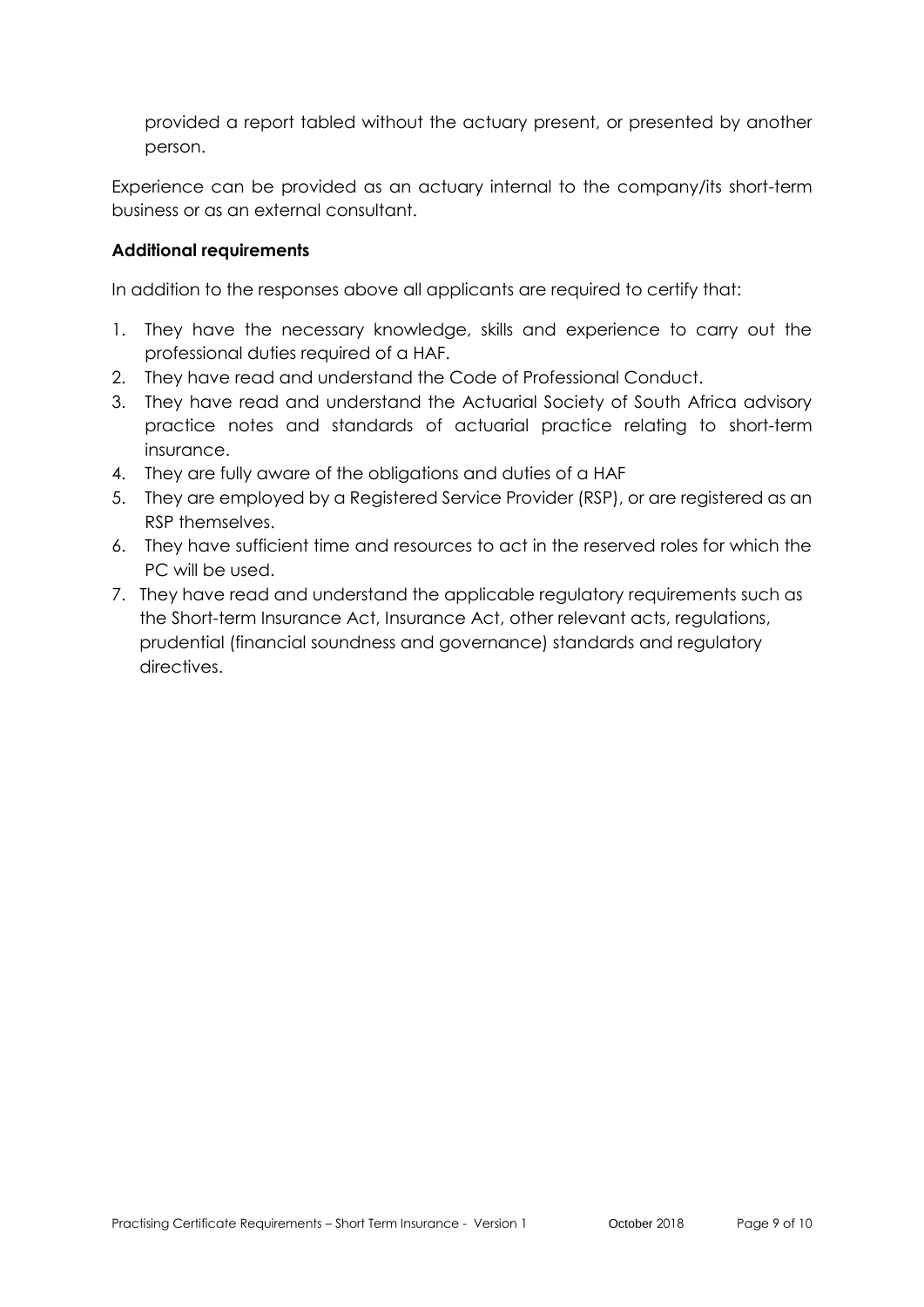provided a report tabled without the actuary present, or presented by another person.

Experience can be provided as an actuary internal to the company/its short-term business or as an external consultant.

## **Additional requirements**

In addition to the responses above all applicants are required to certify that:

- 1. They have the necessary knowledge, skills and experience to carry out the professional duties required of a HAF.
- 2. They have read and understand the Code of Professional Conduct.
- 3. They have read and understand the Actuarial Society of South Africa advisory practice notes and standards of actuarial practice relating to short-term insurance.
- 4. They are fully aware of the obligations and duties of a HAF
- 5. They are employed by a Registered Service Provider (RSP), or are registered as an RSP themselves.
- 6. They have sufficient time and resources to act in the reserved roles for which the PC will be used.
- 7. They have read and understand the applicable regulatory requirements such as the Short-term Insurance Act, Insurance Act, other relevant acts, regulations, prudential (financial soundness and governance) standards and regulatory directives.